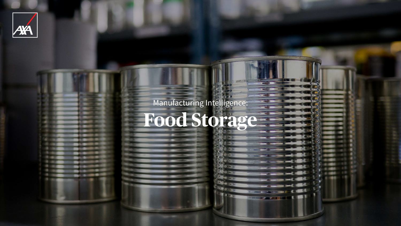



# Manufacturing Intelligence: **Food Storage**

**British** 

**Designation of the Contract of Contract of the Contract of the Contract of the Contract of the Contract of the Contract of the Contract of the Contract of the Contract of the Contract of the Contract of the Contract of th** 

**THE EXECUTIVE OF STATE** 

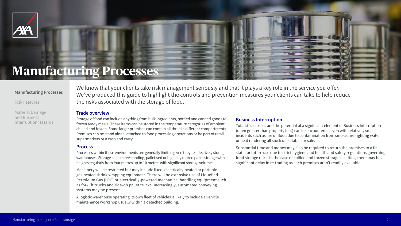We know that your clients take risk management seriously and that it plays a key role in the service you offer. We've produced this guide to highlight the controls and prevention measures your clients can take to help reduce the risks associated with the storage of food.

### **Trade overview**

Storage of food can include anything from bulk ingredients, bottled and canned goods to frozen ready meals. These items can be stored in the temperature categories of ambient, chilled and frozen. Some larger premises can contain all three in different compartments. Premises can be stand alone, attached to food processing operations or be part of retail supermarkets or a cash and carry.

Machinery will be restricted but may include fixed, electrically-heated or portable gas‑heated shrink‑wrapping equipment. There will be extensive use of Liquefied Petroleum Gas (LPG) or electrically‑powered mechanical handling equipment such as forklift trucks and ride-on pallet trucks. Increasingly, automated conveying systems may be present.

#### **Process**

Processes within these environments are generally limited given they're effectively storage warehouses. Storage can be freestanding, palletised or high bay racked pallet storage with heights regularly from four metres up to 10 metres with significant storage volumes.

Substantial time and money may also be required to return the premises to a fit state for future use due to strict hygiene and health and safety regulations governing food storage risks. In the case of chilled and frozen storage facilities, there may be a significant delay in re-trading as such premises aren't readily available.





A logistic warehouse operating its own fleet of vehicles is likely to include a vehicle maintenance workshop usually within a detached building.

#### **Business Interruption**

Total stock losses and the potential of a significant element of Business Interruption (often greater than property loss) can be encountered, even with relatively small incidents such as fire or flood due to contamination from smoke, fire-fighting water or heat rendering all stock unsuitable for sale.



## **Manufacturing Processes**



#### **Manufacturing Processes**

Risk Features

Material Damage and Business Interruption Hazards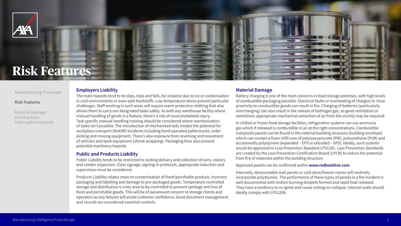

## **Risk Features**

### **Employers Liability**

The main hazards tend to be slips, trips and falls, for instance due to ice or condensation in cool environments or even spilt foodstuffs. Low temperature stores present particular challenges. Staff working in such areas will require warm protective clothing that also allows them to carry out designated tasks safely. As with any warehouse facility where manual handling of goods is a feature, there's a risk of musculoskeletal injury. Task specific manual handling training should be considered where mechanisation of tasks isn't possible. The introduction of mechanised aids creates the potential for workplace transport (forklift) incidents including hand operated pallet trucks, order picking and moving equipment. There's also exposure from reversing and movement of vehicles and work equipment (shrink wrapping). Packaging lines also present potential machinery hazards.

### **Public and Products Liability**

Public Liability tends to be restricted to visiting delivery and collection drivers, visitors and vendor inspectors. Clear signage, signing‑in protocols, appropriate induction and supervision must be considered.

Products Liability relates more to contamination of fresh/perishable produce, incorrect packaging and labelling and damage to pre‑packaged goods. Temperature controlled storage and distribution is a key area to be controlled to prevent spoilage and loss of fresh and perishable goods. This will be of paramount concern to storage clients and operators as any failures will erode customer confidence. Good document management and records are considered essential controls.



### **Material Damage**

Battery charging is one of the main concerns in food storage premises, with high levels of combustible packaging possible. Electrical faults or overheating of chargers in close proximity to combustible goods can result in fire. Charging of batteries (particularly overcharging) can also result in the release of hydrogen gas, so good ventilation or sometimes appropriate mechanical extraction of air from the vicinity may be required.

In chilled or frozen food storage facilities, refrigeration systems can use ammonia gas which if released is combustible in air at the right concentrations. Combustible composite panels can be found in the external building structure (building envelope) which can contain a foam infill core of polyisocyanurate (PIR), polyurethane (PUR) and occasionally polystyrene (expanded – EPS or extruded – XPS). Ideally, such systems would be approved to Loss Prevention Standard LPS1181. Loss Prevention Standards are created by the Loss Prevention Certification Board (LPCB) to reduce the potential from fire of materials within the building structure.

Approved panels can be confirmed within **www.redbooklive.com**.

Internally, demountable wall panels or cold store/freezer rooms will routinely incorporate polystyrene. The performance of these types of panels in a fire incident is well documented with molten burning droplets formed and rapid heat released. They have a tendency to re‑ignite and cause ceilings to collapse. Internal walls should ideally comply with LPS1208.









#### Manufacturing Processes

#### **Risk Features**

Material Damage and Business Interruption Hazards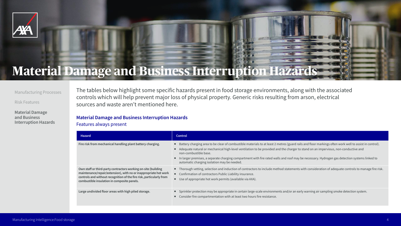¡ In larger premises, a separate charging compartment with fire rated walls and roof may be necessary. Hydrogen gas detection systems linked to atic charging isolation may be needed.

igh vetting, selection and induction of contractors to include method statements with consideration of adequate controls to manage fire risk. mation of contractors Public Liability insurance.

appropriate hot work permits (available via AXA).

ler protection may be appropriate in certain large-scale environments and/or an early warning air sampling smoke detection system. er fire compartmentation with at least two hours fire resistance.



| <b>Hazard</b>                                                                                                                                                                                                                                             | <b>Control</b>                                                             |
|-----------------------------------------------------------------------------------------------------------------------------------------------------------------------------------------------------------------------------------------------------------|----------------------------------------------------------------------------|
| Fire risk from mechanical handling plant battery charging.                                                                                                                                                                                                | <b>Battery</b><br>Adequa<br>non-co<br>In large<br>$\blacksquare$<br>automa |
| Own staff or third-party contractors working on-site (building<br>maintenance/repair/extension), with no or inappropriate hot work<br>controls and without recognition of the fire risk, particularly from<br>combustible insulation in composite panels. | Thorou<br>Confirn<br>Use of a<br>■                                         |
| Large undivided floor areas with high piled storage.                                                                                                                                                                                                      | Sprinkl<br>Consid                                                          |

The tables below highlight some specific hazards present in food storage environments, along with the associated controls which will help prevent major loss of physical property. Generic risks resulting from arson, electrical sources and waste aren't mentioned here.

**Material Damage and Business Interruption Hazards**  Features always present



# **Material Damage and Business Interruption Hazards**



charging area to be clear of combustible materials to at least 2 metres (guard rails and floor markings often work well to assist in control). ate natural or mechanical high-level ventilation to be provided and the charger to stand on an impervious, non‑conductive and mbustible base.

#### Manufacturing Processes

Risk Features

**Material Damage and Business Interruption Hazards**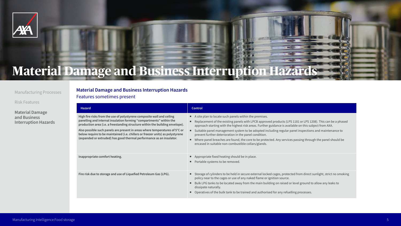#### **Hazard Control**

- A site plan to locate such panels within the premises.
- Replacement of the existing panels with LPCB approved products (LPS 1181 or LPS 1208). This can be a phased approach starting with the highest risk areas. Further guidance is available on this subject from AXA.
- Suitable panel management system to be adopted including regular panel inspections and maintenance to prevent further deterioration in the panel condition.
- Where panel breaches are found, the core to be protected. Any services passing through the panel should be encased in suitable non-combustible collars/glands.
- Inappropriate comfort heating. **The intervals of the computer of the intervals of the computer of the computer of the computer of the computer of the computer of the computer of the computer of the computer of the computer** 
	- **•** Portable systems to be removed.
- **Fire risk due to storage and use of Liquefied Petroleum Gas (LPG).** Storage of cylinders to be held in secure external locked cages, protected from direct sunlight, strict no smoking policy near to the cages or use of any naked flame or ignition source.
	- Bulk LPG tanks to be located away from the main building on raised or level ground to allow any leaks to dissipate naturally.
	- Operatives of the bulk tank to be trained and authorised for any refuelling processes.



**High fire risks from the use of polystyrene composite wall and ceiling panelling and internal insulation forming "compartments" within the production area (i.e. a freestanding structure within the building envelope).**

**Also possible such panels are present in areas where temperatures of 5°C or below require to be maintained (i.e. chillers or freezer units) as polystyrene (expanded or extruded) has good thermal performance as an insulator.**



**Material Damage and Business Interruption Hazards**  Features sometimes present



## **Material Damage and Business Interruption Hazards**

#### Manufacturing Processes

Risk Features

**Material Damage and Business Interruption Hazards**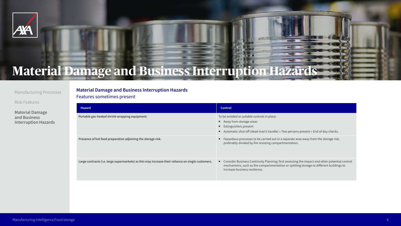| <b>Hazard</b>                                                                                     | <b>Control</b>                                                                                                                                                                                                                               |
|---------------------------------------------------------------------------------------------------|----------------------------------------------------------------------------------------------------------------------------------------------------------------------------------------------------------------------------------------------|
| ortable gas-heated shrink-wrapping equipment.                                                     | To be avoided or suitable controls in place:<br>• Away from storage areas<br>■ Extinguishers present<br>Automatic shut-off (dead man's handle) » Two persons present » End of day checks.<br>п.                                              |
| resence of hot food preparation adjoining the storage risk.                                       | Hazardous processes to be carried out in a separate area away from the storage risk,<br>preferably divided by fire resisting compartmentation.                                                                                               |
| arge contracts (i.e. large supermarkets) as this may increase their reliance on single customers. | Consider Business Continuity Planning; first assessing the impact and other potential control<br>$\blacksquare$<br>mechanisms, such as fire compartmentation or splitting storage to different buildings to<br>increase business resilience. |



**Material Damage and Business Interruption Hazards**  Features sometimes present



# **Material Damage and Business Interruption Hazards**



#### Manufacturing Processes

Risk Features

**Material Damage and Business Interruption Hazards**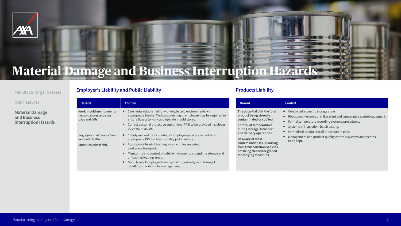| <b>Hazard</b>                                                                       | <b>Control</b>                                                                                                                                                                                                                             |
|-------------------------------------------------------------------------------------|--------------------------------------------------------------------------------------------------------------------------------------------------------------------------------------------------------------------------------------------|
| <b>Work in cold environments</b><br>i.e. cold stores and slips,<br>trips and falls. | Safe limits established for working in cold enviror<br>ш<br>appropriate breaks. Medical screening of employ<br>ensure fitness to work and operate in cold stores.<br>Correct personal protective equipment (PPE) to b<br>body warmers etc. |
| <b>Segregation of people from</b><br>vehicular traffic.                             | Clearly marked traffic routes, all employees/visite<br>appropriate PPE i.e. high visibility jackets/vests.                                                                                                                                 |
| Musculoskeletal risk.                                                               | Appropriate level of training for all employees using<br>п<br>workplace transport.                                                                                                                                                         |
|                                                                                     | Monitoring and control of vehicle movements ard<br>unloading/loading areas.                                                                                                                                                                |
|                                                                                     | Good level of employee training and importantly<br>handling operations by management.                                                                                                                                                      |

| <b>Hazard</b>                  | <b>Control</b>                                                         |
|--------------------------------|------------------------------------------------------------------------|
| The potential that the food    | Controlled access to storage areas.                                    |
| product being stored is        | ш.                                                                     |
| contaminated or spoiled.       | Robust maintenance of chiller plant and temperature control equipment. |
| <b>Control of temperatures</b> | ш                                                                      |
| during storage, transport      | Formal temperature recording systems/procedures.                       |
| and delivery operations.       | ш                                                                      |
| Be aware of cross              | Systems of inspection, batch testing.                                  |
| contamination issues arising   | Formalised product recall procedure in place.                          |
| from transportation vehicles   | ш                                                                      |
| not being cleaned or graded    | Management and product quality controls systems and records            |
| for carrying foodstuffs.       | to be kept.                                                            |

- nvironments with mployee may be required to
- E) to be provided i.e. gloves,
- $/$  visitors issued with
- es using
- nts around the storage and
- tantly monitoring of











# **Material Damage and Business Interruption Hazards**



#### Manufacturing Processes

Risk Features

**Material Damage and Business Interruption Hazards**

## **Employer's Liability and Public Liability <b>Products Liability Products Liability**